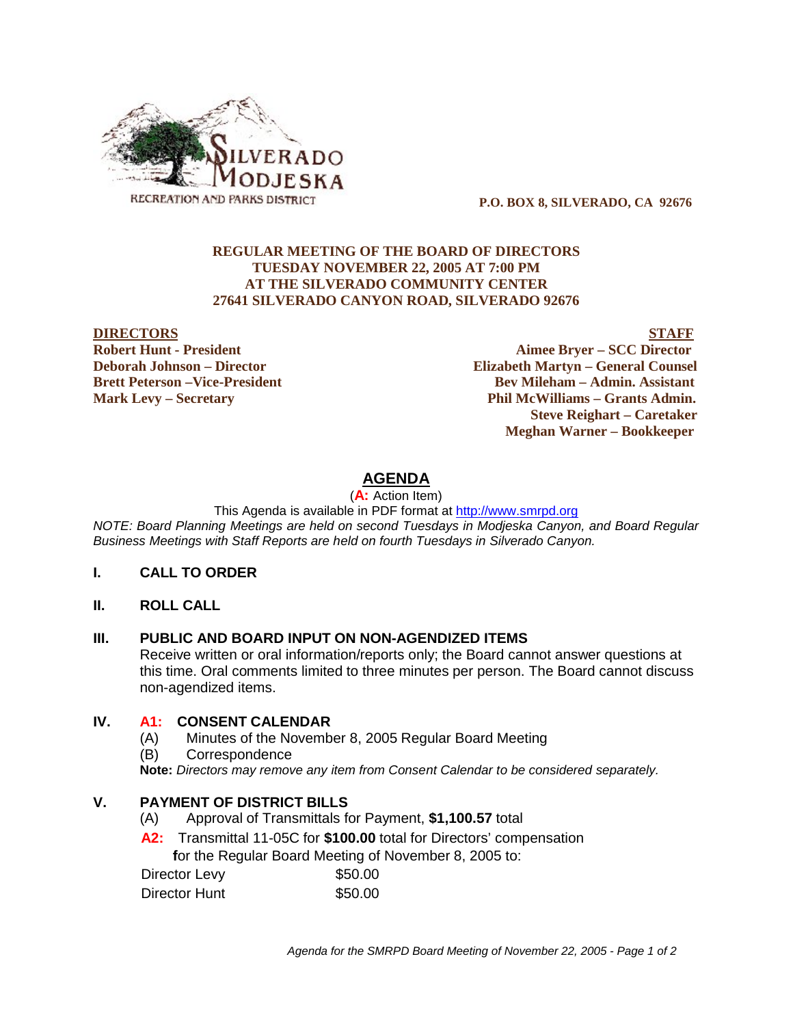

 **P.O. BOX 8, SILVERADO, CA 92676**

### **REGULAR MEETING OF THE BOARD OF DIRECTORS TUESDAY NOVEMBER 22, 2005 AT 7:00 PM AT THE SILVERADO COMMUNITY CENTER 27641 SILVERADO CANYON ROAD, SILVERADO 92676**

#### **DIRECTORS** STAFF

**Robert Hunt - President Aimee Bryer – SCC Director Deborah Johnson – Director Elizabeth Martyn – General Counsel Brett Peterson –Vice-President Electronic Serverson – Bev Mileham – Admin. Assistant Mark Levy – Secretary Phil McWilliams – Grants Admin. Steve Reighart – Caretaker Meghan Warner – Bookkeeper**

## **AGENDA**

(**A:** Action Item)

This Agenda is available in PDF format at http://www.smrpd.org

*NOTE: Board Planning Meetings are held on second Tuesdays in Modjeska Canyon, and Board Regular Business Meetings with Staff Reports are held on fourth Tuesdays in Silverado Canyon.*

#### **I. CALL TO ORDER**

**II. ROLL CALL**

#### **III. PUBLIC AND BOARD INPUT ON NON-AGENDIZED ITEMS**

Receive written or oral information/reports only; the Board cannot answer questions at this time. Oral comments limited to three minutes per person. The Board cannot discuss non-agendized items.

## **IV. A1:CONSENT CALENDAR**

- (A) Minutes of the November 8, 2005 Regular Board Meeting
- (B) Correspondence

**Note:** *Directors may remove any item from Consent Calendar to be considered separately.*

#### **V. PAYMENT OF DISTRICT BILLS**

- (A) Approval of Transmittals for Payment, **\$1,100.57** total
- **A2:**Transmittal 11-05C for **\$100.00** total for Directors' compensation  **f**or the Regular Board Meeting of November 8, 2005 to:

| Director Levy | \$50.00 |
|---------------|---------|
| Director Hunt | \$50.00 |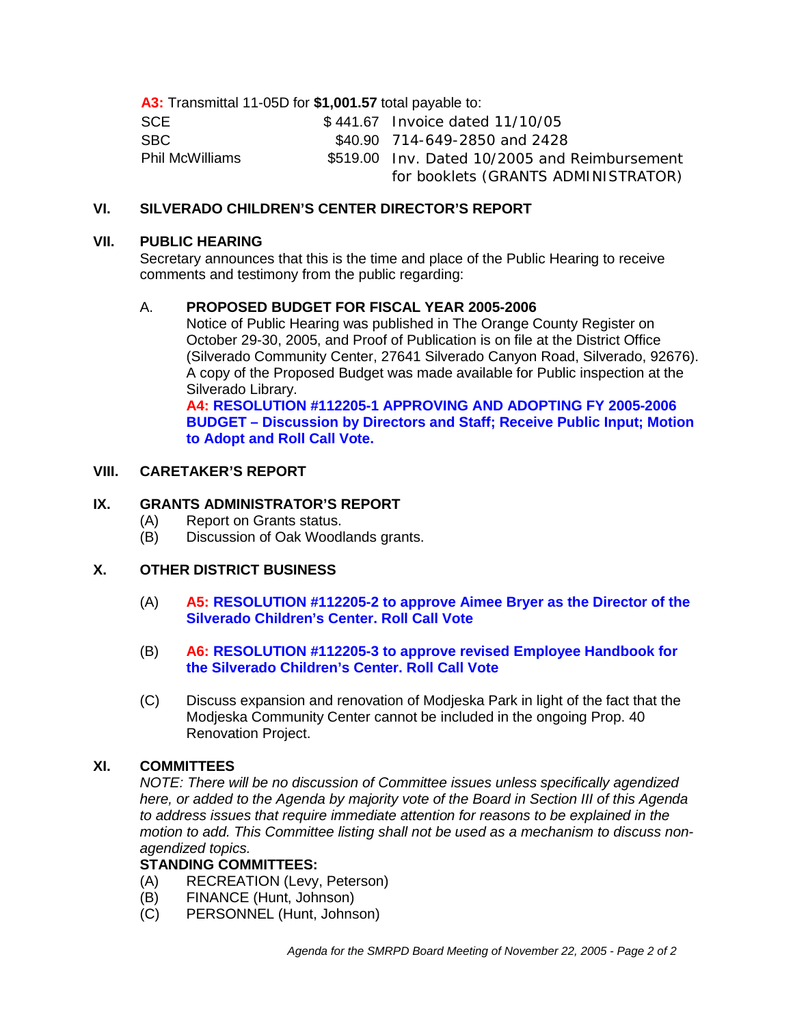**A3:** Transmittal 11-05D for **\$1,001.57** total payable to:

| <b>SCE</b>             | \$441.67 Invoice dated 11/10/05               |
|------------------------|-----------------------------------------------|
| SBC.                   | \$40.90 714-649-2850 and 2428                 |
| <b>Phil McWilliams</b> | \$519.00 Inv. Dated 10/2005 and Reimbursement |
|                        | for booklets (GRANTS ADMINISTRATOR)           |

## **VI. SILVERADO CHILDREN'S CENTER DIRECTOR'S REPORT**

#### **VII. PUBLIC HEARING**

Secretary announces that this is the time and place of the Public Hearing to receive comments and testimony from the public regarding:

## A. **PROPOSED BUDGET FOR FISCAL YEAR 2005-2006**

Notice of Public Hearing was published in The Orange County Register on October 29-30, 2005, and Proof of Publication is on file at the District Office (Silverado Community Center, 27641 Silverado Canyon Road, Silverado, 92676). A copy of the Proposed Budget was made available for Public inspection at the Silverado Library.

**A4: RESOLUTION #112205-1 APPROVING AND ADOPTING FY 2005-2006 BUDGET – Discussion by Directors and Staff; Receive Public Input; Motion to Adopt and Roll Call Vote.**

## **VIII. CARETAKER'S REPORT**

## **IX. GRANTS ADMINISTRATOR'S REPORT**

- (A) Report on Grants status.
- (B) Discussion of Oak Woodlands grants.

## **X. OTHER DISTRICT BUSINESS**

- (A) **A5: RESOLUTION #112205-2 to approve Aimee Bryer as the Director of the Silverado Children's Center. Roll Call Vote**
- (B) **A6: RESOLUTION #112205-3 to approve revised Employee Handbook for the Silverado Children's Center. Roll Call Vote**
- (C) Discuss expansion and renovation of Modjeska Park in light of the fact that the Modjeska Community Center cannot be included in the ongoing Prop. 40 Renovation Project.

## **XI. COMMITTEES**

*NOTE: There will be no discussion of Committee issues unless specifically agendized here, or added to the Agenda by majority vote of the Board in Section III of this Agenda to address issues that require immediate attention for reasons to be explained in the motion to add. This Committee listing shall not be used as a mechanism to discuss nonagendized topics.*

## **STANDING COMMITTEES:**

- (A) RECREATION (Levy, Peterson)
- (B) FINANCE (Hunt, Johnson)
- (C) PERSONNEL (Hunt, Johnson)